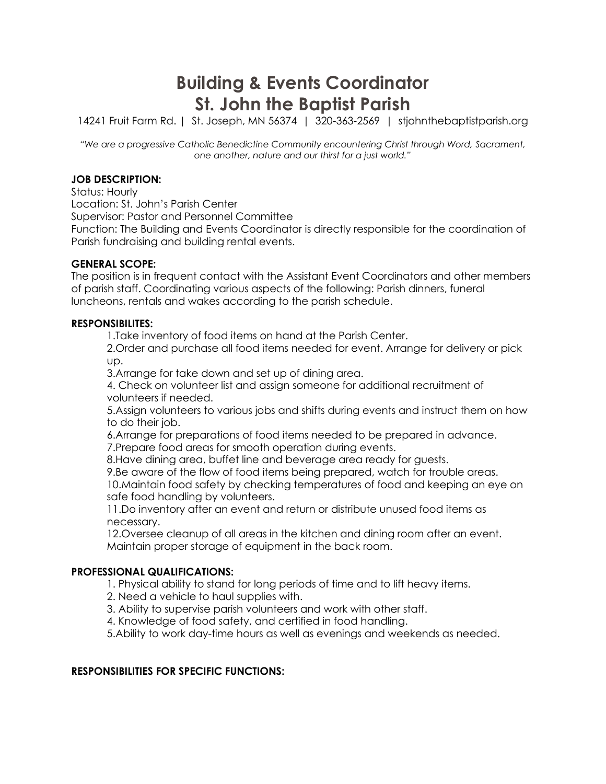# **Building & Events Coordinator St. John the Baptist Parish**

14241 Fruit Farm Rd. | St. Joseph, MN 56374 | 320-363-2569 | stjohnthebaptistparish.org

*"We are a progressive Catholic Benedictine Community encountering Christ through Word, Sacrament, one another, nature and our thirst for a just world."*

### **JOB DESCRIPTION:**

Status: Hourly

Location: St. John's Parish Center

Supervisor: Pastor and Personnel Committee

Function: The Building and Events Coordinator is directly responsible for the coordination of Parish fundraising and building rental events.

### **GENERAL SCOPE:**

The position is in frequent contact with the Assistant Event Coordinators and other members of parish staff. Coordinating various aspects of the following: Parish dinners, funeral luncheons, rentals and wakes according to the parish schedule.

### **RESPONSIBILITES:**

1.Take inventory of food items on hand at the Parish Center.

2.Order and purchase all food items needed for event. Arrange for delivery or pick up.

3.Arrange for take down and set up of dining area.

4. Check on volunteer list and assign someone for additional recruitment of volunteers if needed.

5.Assign volunteers to various jobs and shifts during events and instruct them on how to do their job.

6.Arrange for preparations of food items needed to be prepared in advance. 7.Prepare food areas for smooth operation during events.

8.Have dining area, buffet line and beverage area ready for guests.

9.Be aware of the flow of food items being prepared, watch for trouble areas. 10.Maintain food safety by checking temperatures of food and keeping an eye on safe food handling by volunteers.

11.Do inventory after an event and return or distribute unused food items as necessary.

12.Oversee cleanup of all areas in the kitchen and dining room after an event. Maintain proper storage of equipment in the back room.

## **PROFESSIONAL QUALIFICATIONS:**

1. Physical ability to stand for long periods of time and to lift heavy items.

- 2. Need a vehicle to haul supplies with.
- 3. Ability to supervise parish volunteers and work with other staff.
- 4. Knowledge of food safety, and certified in food handling.

5.Ability to work day-time hours as well as evenings and weekends as needed.

### **RESPONSIBILITIES FOR SPECIFIC FUNCTIONS:**